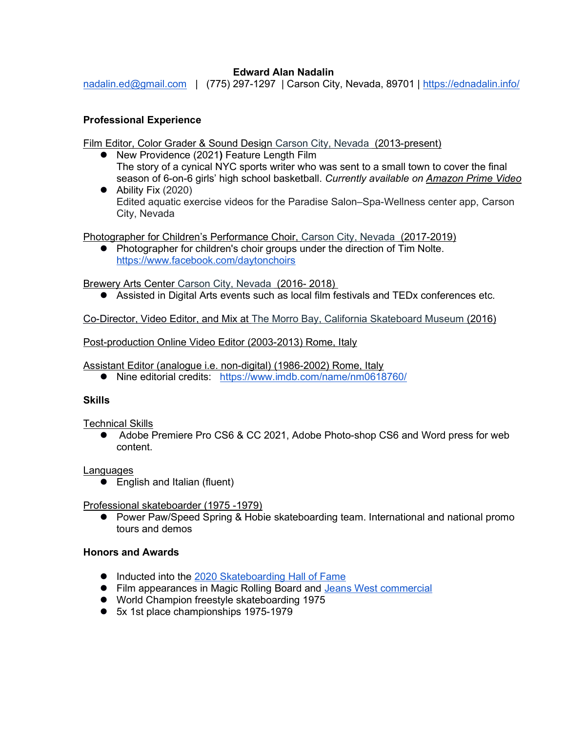# Edward Alan Nadalin

nadalin.ed@gmail.com | (775) 297-1297 | Carson City, Nevada, 89701 | https://ednadalin.info/

## Professional Experience

Film Editor, Color Grader & Sound Design Carson City, Nevada (2013-present)

- New Providence (2021) Feature Length Film The story of a cynical NYC sports writer who was sent to a small town to cover the final season of 6-on-6 girls' high school basketball. Currently available on Amazon Prime Video
- Ability Fix (2020) Edited aquatic exercise videos for the Paradise Salon–Spa-Wellness center app, Carson City, Nevada

Photographer for Children's Performance Choir, Carson City, Nevada (2017-2019)

• Photographer for children's choir groups under the direction of Tim Nolte. https://www.facebook.com/daytonchoirs

Brewery Arts Center Carson City, Nevada (2016- 2018)

Assisted in Digital Arts events such as local film festivals and TEDx conferences etc.

Co-Director, Video Editor, and Mix at The Morro Bay, California Skateboard Museum (2016)

Post-production Online Video Editor (2003-2013) Rome, Italy

Assistant Editor (analogue i.e. non-digital) (1986-2002) Rome, Italy

● Nine editorial credits: https://www.imdb.com/name/nm0618760/

#### **Skills**

Technical Skills

● Adobe Premiere Pro CS6 & CC 2021, Adobe Photo-shop CS6 and Word press for web content.

#### Languages

● English and Italian (fluent)

Professional skateboarder (1975 -1979)

● Power Paw/Speed Spring & Hobie skateboarding team. International and national promo tours and demos

#### Honors and Awards

- Inducted into the 2020 Skateboarding Hall of Fame
- Film appearances in Magic Rolling Board and Jeans West commercial
- World Champion freestyle skateboarding 1975
- 5x 1st place championships 1975-1979